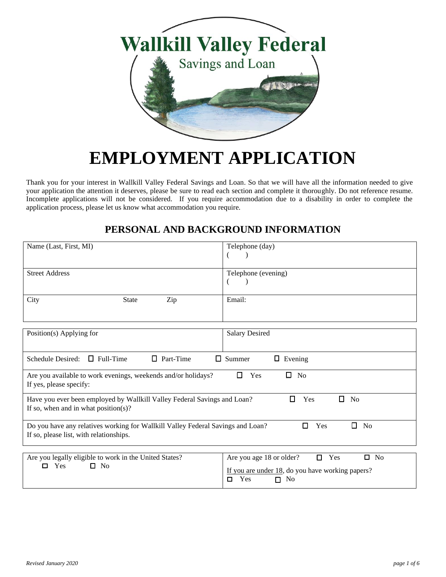

# **EMPLOYMENT APPLICATION**

Thank you for your interest in Wallkill Valley Federal Savings and Loan. So that we will have all the information needed to give your application the attention it deserves, please be sure to read each section and complete it thoroughly. Do not reference resume. Incomplete applications will not be considered. If you require accommodation due to a disability in order to complete the application process, please let us know what accommodation you require.

# **PERSONAL AND BACKGROUND INFORMATION**

| Name (Last, First, MI)                                                                                                     | Telephone (day)                                                                                                                       |  |
|----------------------------------------------------------------------------------------------------------------------------|---------------------------------------------------------------------------------------------------------------------------------------|--|
| <b>Street Address</b>                                                                                                      | Telephone (evening)                                                                                                                   |  |
| City<br>Zip<br>State                                                                                                       | Email:                                                                                                                                |  |
| Position(s) Applying for                                                                                                   | <b>Salary Desired</b>                                                                                                                 |  |
| Schedule Desired: $\Box$ Full-Time<br>$\Box$ Part-Time                                                                     | $\Box$ Summer<br>$\Box$ Evening                                                                                                       |  |
| Are you available to work evenings, weekends and/or holidays?<br>If yes, please specify:                                   | $\square$ No<br>$\Box$ Yes                                                                                                            |  |
| Have you ever been employed by Wallkill Valley Federal Savings and Loan?<br>If so, when and in what position(s)?           | $\Box$ Yes<br>$\Box$ No                                                                                                               |  |
| Do you have any relatives working for Wallkill Valley Federal Savings and Loan?<br>If so, please list, with relationships. | $\Box$ No<br>$\Box$ Yes                                                                                                               |  |
| Are you legally eligible to work in the United States?<br>$\square$ No<br>$\Box$ Yes                                       | Are you age 18 or older?<br>$\Box$ Yes<br>$\square$ No<br>If you are under 18, do you have working papers?<br>$\Box$ Yes<br>$\Box$ No |  |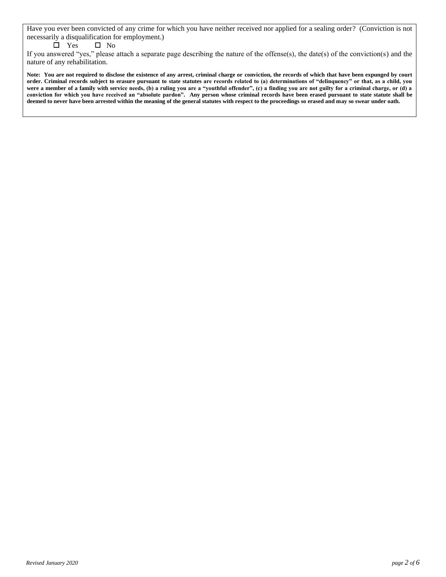Have you ever been convicted of any crime for which you have neither received nor applied for a sealing order? (Conviction is not necessarily a disqualification for employment.)

#### $\square$  Yes  $\square$  No

If you answered "yes," please attach a separate page describing the nature of the offense(s), the date(s) of the conviction(s) and the nature of any rehabilitation.

**Note: You are not required to disclose the existence of any arrest, criminal charge or conviction, the records of which that have been expunged by court order. Criminal records subject to erasure pursuant to state statutes are records related to (a) determinations of "delinquency" or that, as a child, you were a member of a family with service needs, (b) a ruling you are a "youthful offender", (c) a finding you are not guilty for a criminal charge, or (d) a conviction for which you have received an "absolute pardon". Any person whose criminal records have been erased pursuant to state statute shall be deemed to never have been arrested within the meaning of the general statutes with respect to the proceedings so erased and may so swear under oath.**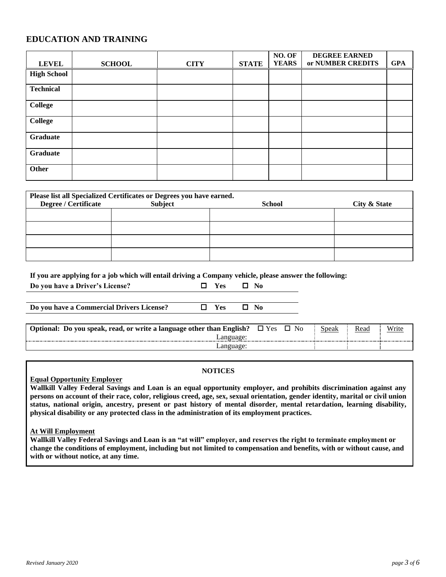## **EDUCATION AND TRAINING**

| <b>LEVEL</b>       | <b>SCHOOL</b> | <b>CITY</b> | <b>STATE</b> | NO. OF<br><b>YEARS</b> | <b>DEGREE EARNED</b><br>or NUMBER CREDITS | <b>GPA</b> |
|--------------------|---------------|-------------|--------------|------------------------|-------------------------------------------|------------|
| <b>High School</b> |               |             |              |                        |                                           |            |
| <b>Technical</b>   |               |             |              |                        |                                           |            |
| <b>College</b>     |               |             |              |                        |                                           |            |
| <b>College</b>     |               |             |              |                        |                                           |            |
| Graduate           |               |             |              |                        |                                           |            |
| Graduate           |               |             |              |                        |                                           |            |
| <b>Other</b>       |               |             |              |                        |                                           |            |

| Please list all Specialized Certificates or Degrees you have earned. |         |               |              |  |  |
|----------------------------------------------------------------------|---------|---------------|--------------|--|--|
| <b>Degree / Certificate</b>                                          | Subject | <b>School</b> | City & State |  |  |
|                                                                      |         |               |              |  |  |
|                                                                      |         |               |              |  |  |
|                                                                      |         |               |              |  |  |
|                                                                      |         |               |              |  |  |

**If you are applying for a job which will entail driving a Company vehicle, please answer the following:**

**Do you have a Commercial Drivers License?** □ Yes □ No

| Optional: Do you speak, read, or write a language other than English? | Y es | N <sub>0</sub> | speak | Read | Write |
|-----------------------------------------------------------------------|------|----------------|-------|------|-------|
| Language:<br>                                                         |      |                |       |      |       |
| Language:                                                             |      |                |       |      |       |

**Do you have a Driver's License? Yes No**

#### **NOTICES**

**Equal Opportunity Employer**

**Wallkill Valley Federal Savings and Loan is an equal opportunity employer, and prohibits discrimination against any persons on account of their race, color, religious creed, age, sex, sexual orientation, gender identity, marital or civil union status, national origin, ancestry, present or past history of mental disorder, mental retardation, learning disability, physical disability or any protected class in the administration of its employment practices.**

#### **At Will Employment**

**Wallkill Valley Federal Savings and Loan is an "at will" employer, and reserves the right to terminate employment or change the conditions of employment, including but not limited to compensation and benefits, with or without cause, and with or without notice, at any time.**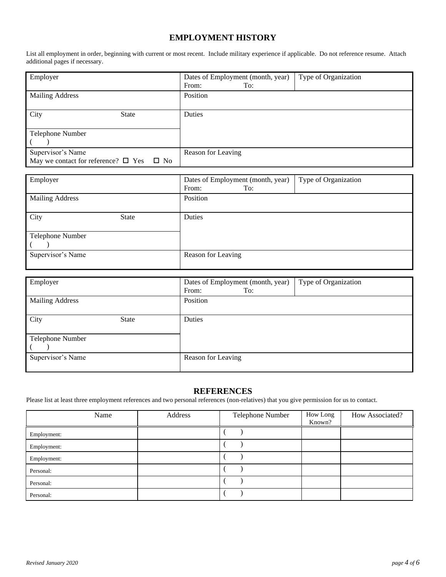## **EMPLOYMENT HISTORY**

List all employment in order, beginning with current or most recent. Include military experience if applicable. Do not reference resume. Attach additional pages if necessary.

| Employer                                                 | Type of Organization<br>Dates of Employment (month, year)<br>To:<br>From: |
|----------------------------------------------------------|---------------------------------------------------------------------------|
| <b>Mailing Address</b>                                   | Position                                                                  |
| City<br><b>State</b>                                     | Duties                                                                    |
| Telephone Number                                         |                                                                           |
|                                                          |                                                                           |
| Supervisor's Name                                        | Reason for Leaving                                                        |
| May we contact for reference? $\Box$ Yes<br>$\square$ No |                                                                           |

| Employer               |              | Dates of Employment (month, year) | Type of Organization |
|------------------------|--------------|-----------------------------------|----------------------|
|                        |              | From:<br>To:                      |                      |
| <b>Mailing Address</b> |              | Position                          |                      |
|                        |              |                                   |                      |
| City                   | <b>State</b> | Duties                            |                      |
|                        |              |                                   |                      |
| Telephone Number       |              |                                   |                      |
|                        |              |                                   |                      |
| Supervisor's Name      |              | Reason for Leaving                |                      |
|                        |              |                                   |                      |

| Employer                 |              | Dates of Employment (month, year)<br>To:<br>From: | Type of Organization |
|--------------------------|--------------|---------------------------------------------------|----------------------|
| <b>Mailing Address</b>   |              | Position                                          |                      |
| City<br>Telephone Number | <b>State</b> | Duties                                            |                      |
| Supervisor's Name        |              | Reason for Leaving                                |                      |

### **REFERENCES**

Please list at least three employment references and two personal references (non-relatives) that you give permission for us to contact.

|             | Name | Address | Telephone Number | How Long<br>Known? | How Associated? |
|-------------|------|---------|------------------|--------------------|-----------------|
| Employment: |      |         |                  |                    |                 |
| Employment: |      |         |                  |                    |                 |
| Employment: |      |         |                  |                    |                 |
| Personal:   |      |         |                  |                    |                 |
| Personal:   |      |         |                  |                    |                 |
| Personal:   |      |         |                  |                    |                 |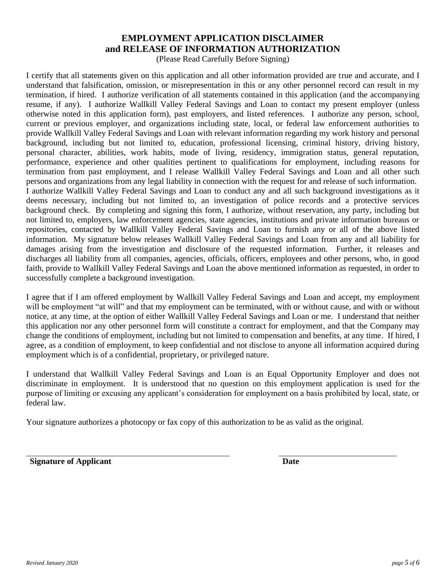## **EMPLOYMENT APPLICATION DISCLAIMER and RELEASE OF INFORMATION AUTHORIZATION**

(Please Read Carefully Before Signing)

I certify that all statements given on this application and all other information provided are true and accurate, and I understand that falsification, omission, or misrepresentation in this or any other personnel record can result in my termination, if hired. I authorize verification of all statements contained in this application (and the accompanying resume, if any). I authorize Wallkill Valley Federal Savings and Loan to contact my present employer (unless otherwise noted in this application form), past employers, and listed references. I authorize any person, school, current or previous employer, and organizations including state, local, or federal law enforcement authorities to provide Wallkill Valley Federal Savings and Loan with relevant information regarding my work history and personal background, including but not limited to, education, professional licensing, criminal history, driving history, personal character, abilities, work habits, mode of living, residency, immigration status, general reputation, performance, experience and other qualities pertinent to qualifications for employment, including reasons for termination from past employment, and I release Wallkill Valley Federal Savings and Loan and all other such persons and organizations from any legal liability in connection with the request for and release of such information. I authorize Wallkill Valley Federal Savings and Loan to conduct any and all such background investigations as it deems necessary, including but not limited to, an investigation of police records and a protective services background check. By completing and signing this form, I authorize, without reservation, any party, including but not limited to, employers, law enforcement agencies, state agencies, institutions and private information bureaus or repositories, contacted by Wallkill Valley Federal Savings and Loan to furnish any or all of the above listed information. My signature below releases Wallkill Valley Federal Savings and Loan from any and all liability for damages arising from the investigation and disclosure of the requested information. Further, it releases and discharges all liability from all companies, agencies, officials, officers, employees and other persons, who, in good faith, provide to Wallkill Valley Federal Savings and Loan the above mentioned information as requested, in order to successfully complete a background investigation.

I agree that if I am offered employment by Wallkill Valley Federal Savings and Loan and accept, my employment will be employment "at will" and that my employment can be terminated, with or without cause, and with or without notice, at any time, at the option of either Wallkill Valley Federal Savings and Loan or me. I understand that neither this application nor any other personnel form will constitute a contract for employment, and that the Company may change the conditions of employment, including but not limited to compensation and benefits, at any time. If hired, I agree, as a condition of employment, to keep confidential and not disclose to anyone all information acquired during employment which is of a confidential, proprietary, or privileged nature.

I understand that Wallkill Valley Federal Savings and Loan is an Equal Opportunity Employer and does not discriminate in employment. It is understood that no question on this employment application is used for the purpose of limiting or excusing any applicant's consideration for employment on a basis prohibited by local, state, or federal law.

Your signature authorizes a photocopy or fax copy of this authorization to be as valid as the original.

**Signature of Applicant Date**